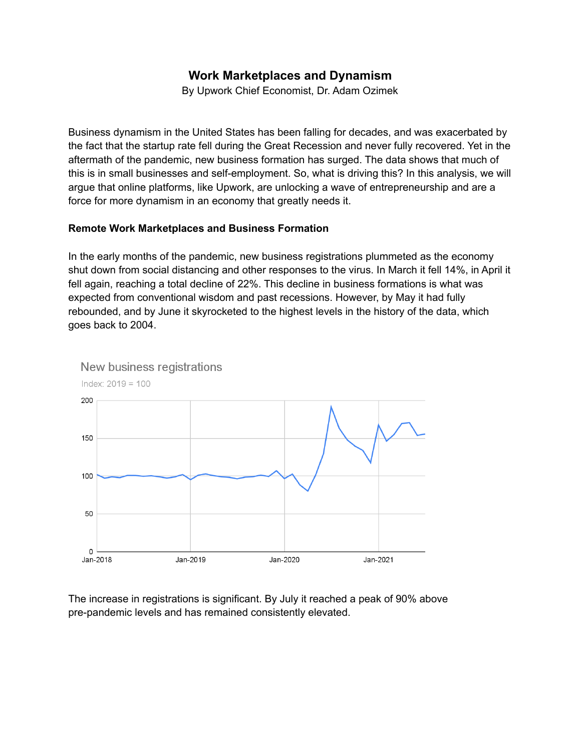# **Work Marketplaces and Dynamism**

By Upwork Chief Economist, Dr. Adam Ozimek

Business dynamism in the United States has been falling for decades, and was exacerbated by the fact that the startup rate fell during the Great Recession and never fully recovered. Yet in the aftermath of the pandemic, new business formation has surged. The data shows that much of this is in small businesses and self-employment. So, what is driving this? In this analysis, we will argue that online platforms, like Upwork, are unlocking a wave of entrepreneurship and are a force for more dynamism in an economy that greatly needs it.

# **Remote Work Marketplaces and Business Formation**

In the early months of the pandemic, new business registrations plummeted as the economy shut down from social distancing and other responses to the virus. In March it fell 14%, in April it fell again, reaching a total decline of 22%. This decline in business formations is what was expected from conventional wisdom and past recessions. However, by May it had fully rebounded, and by June it skyrocketed to the highest levels in the history of the data, which goes back to 2004.





The increase in registrations is significant. By July it reached a peak of 90% above pre-pandemic levels and has remained consistently elevated.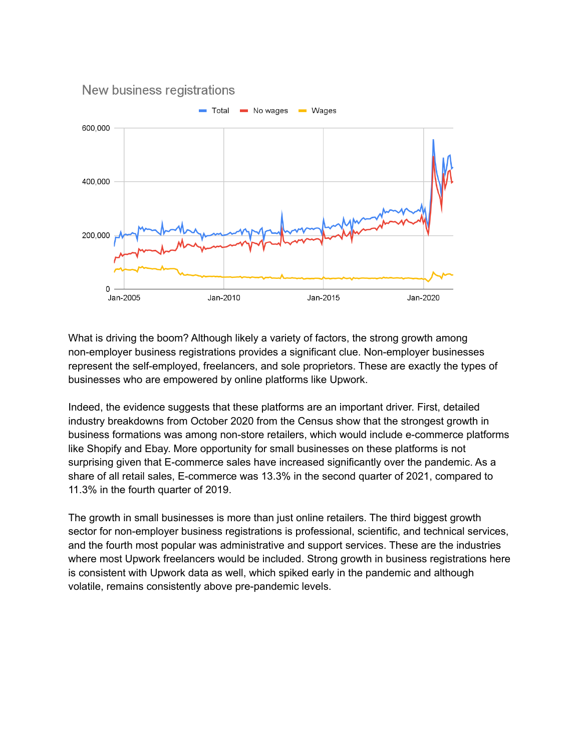

What is driving the boom? Although likely a variety of factors, the strong growth among non-employer business registrations provides a significant clue. Non-employer businesses represent the self-employed, freelancers, and sole proprietors. These are exactly the types of businesses who are empowered by online platforms like Upwork.

Indeed, the evidence suggests that these platforms are an important driver. First, detailed industry breakdowns from October 2020 from the Census show that the strongest growth in business formations was among non-store retailers, which would include e-commerce platforms like Shopify and Ebay. More opportunity for small businesses on these platforms is not surprising given that E-commerce sales have increased significantly over the pandemic. As a share of all retail sales, E-commerce was 13.3% in the second quarter of 2021, compared to 11.3% in the fourth quarter of 2019.

The growth in small businesses is more than just online retailers. The third biggest growth sector for non-employer business registrations is professional, scientific, and technical services, and the fourth most popular was administrative and support services. These are the industries where most Upwork freelancers would be included. Strong growth in business registrations here is consistent with Upwork data as well, which spiked early in the pandemic and although volatile, remains consistently above pre-pandemic levels.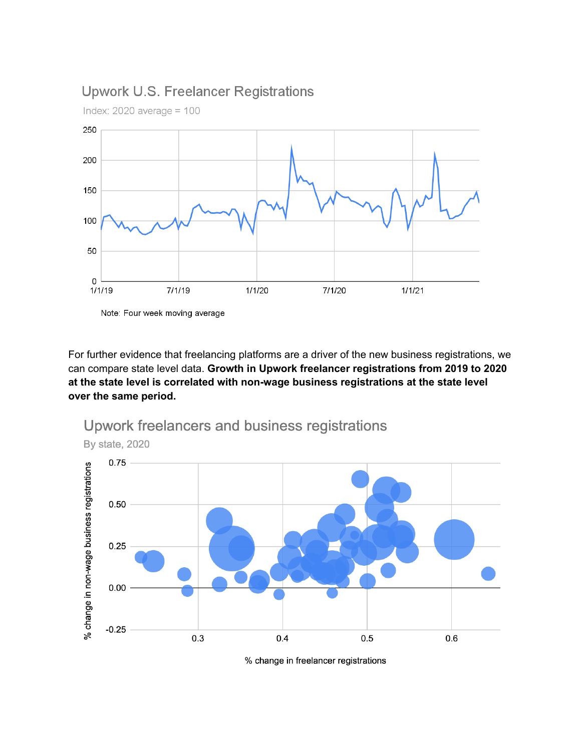# **Upwork U.S. Freelancer Registrations**



Index:  $2020$  average =  $100$ 

Note: Four week moving average

For further evidence that freelancing platforms are a driver of the new business registrations, we can compare state level data. Growth in Upwork freelancer registrations from 2019 to 2020 at the state level is correlated with non-wage business registrations at the state level over the same period.



Upwork freelancers and business registrations

% change in freelancer registrations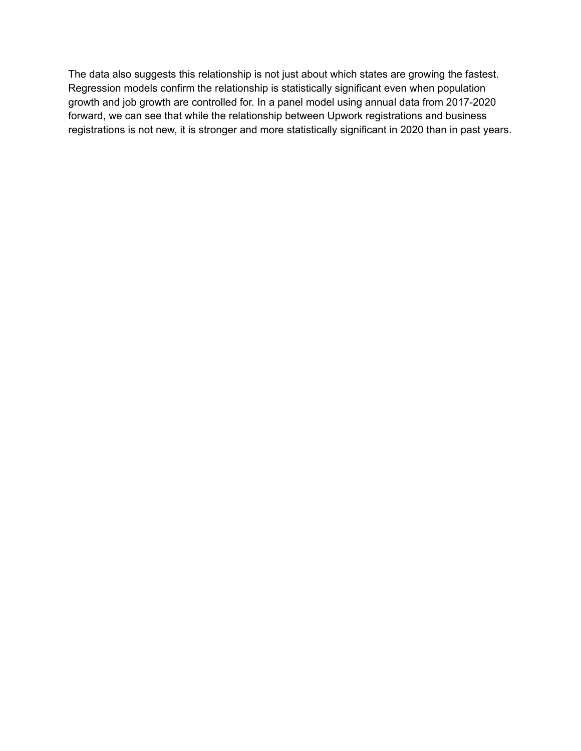The data also suggests this relationship is not just about which states are growing the fastest. Regression models confirm the relationship is statistically significant even when population growth and job growth are controlled for. In a panel model using annual data from 2017-2020 forward, we can see that while the relationship between Upwork registrations and business registrations is not new, it is stronger and more statistically significant in 2020 than in past years.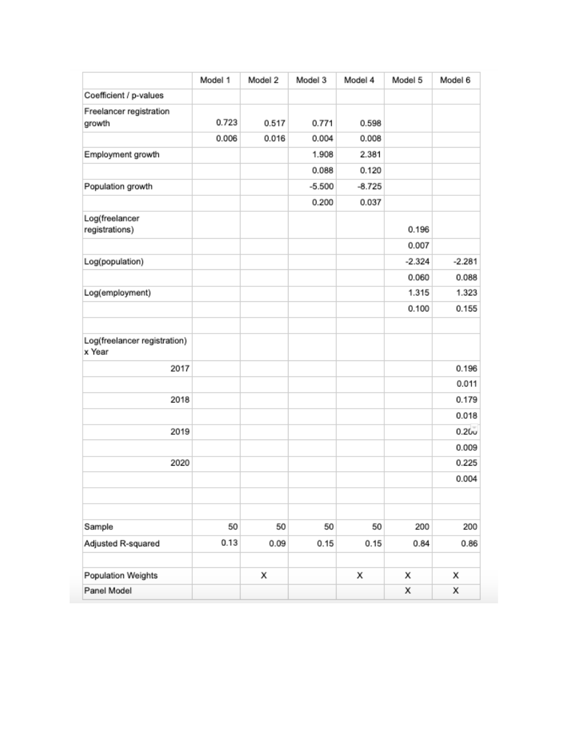|                                        | Model 1 | Model 2 | Model 3  | Model 4  | Model 5  | Model 6           |
|----------------------------------------|---------|---------|----------|----------|----------|-------------------|
| Coefficient / p-values                 |         |         |          |          |          |                   |
| Freelancer registration                |         |         |          |          |          |                   |
| growth                                 | 0.723   | 0.517   | 0.771    | 0.598    |          |                   |
|                                        | 0.006   | 0.016   | 0.004    | 0.008    |          |                   |
| Employment growth                      |         |         | 1.908    | 2.381    |          |                   |
|                                        |         |         | 0.088    | 0.120    |          |                   |
| Population growth                      |         |         | $-5.500$ | $-8.725$ |          |                   |
|                                        |         |         | 0.200    | 0.037    |          |                   |
| Log(freelancer                         |         |         |          |          |          |                   |
| registrations)                         |         |         |          |          | 0.196    |                   |
|                                        |         |         |          |          | 0.007    |                   |
| Log(population)                        |         |         |          |          | $-2.324$ | $-2.281$          |
|                                        |         |         |          |          | 0.060    | 0.088             |
| Log(employment)                        |         |         |          |          | 1.315    | 1.323             |
|                                        |         |         |          |          | 0.100    | 0.155             |
| Log(freelancer registration)<br>x Year |         |         |          |          |          |                   |
| 2017                                   |         |         |          |          |          | 0.196             |
|                                        |         |         |          |          |          | 0.011             |
| 2018                                   |         |         |          |          |          | 0.179             |
|                                        |         |         |          |          |          | 0.018             |
| 2019                                   |         |         |          |          |          | 0.20 <sub>v</sub> |
|                                        |         |         |          |          |          | 0.009             |
| 2020                                   |         |         |          |          |          | 0.225             |
|                                        |         |         |          |          |          | 0.004             |
|                                        |         |         |          |          |          |                   |
| Sample                                 | 50      | 50      | 50       | 50       | 200      | 200               |
| Adjusted R-squared                     | 0.13    | 0.09    | 0.15     | 0.15     | 0.84     | 0.86              |
| Population Weights                     |         | x       |          | x        | х        | x                 |
| Panel Model                            |         |         |          |          | х        | X                 |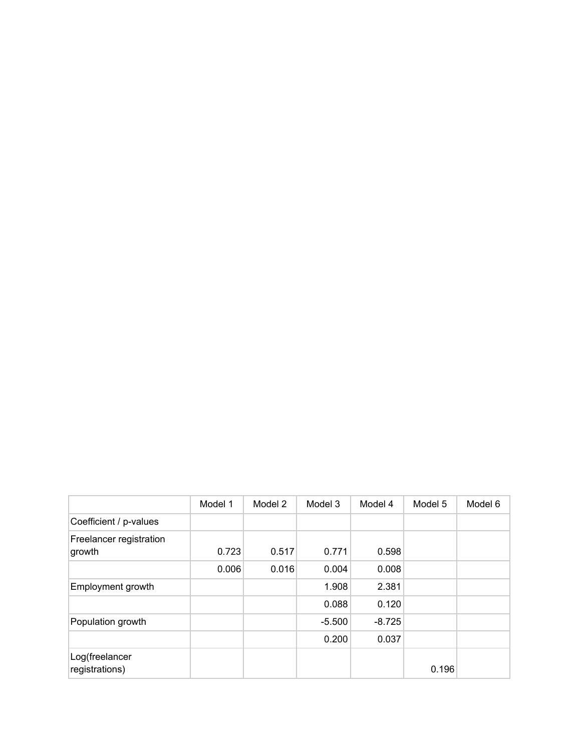|                                   | Model 1 | Model 2 | Model 3  | Model 4  | Model 5 | Model 6 |
|-----------------------------------|---------|---------|----------|----------|---------|---------|
| Coefficient / p-values            |         |         |          |          |         |         |
| Freelancer registration<br>growth | 0.723   | 0.517   | 0.771    | 0.598    |         |         |
|                                   | 0.006   | 0.016   | 0.004    | 0.008    |         |         |
| Employment growth                 |         |         | 1.908    | 2.381    |         |         |
|                                   |         |         | 0.088    | 0.120    |         |         |
| Population growth                 |         |         | $-5.500$ | $-8.725$ |         |         |
|                                   |         |         | 0.200    | 0.037    |         |         |
| Log(freelancer<br>registrations)  |         |         |          |          | 0.196   |         |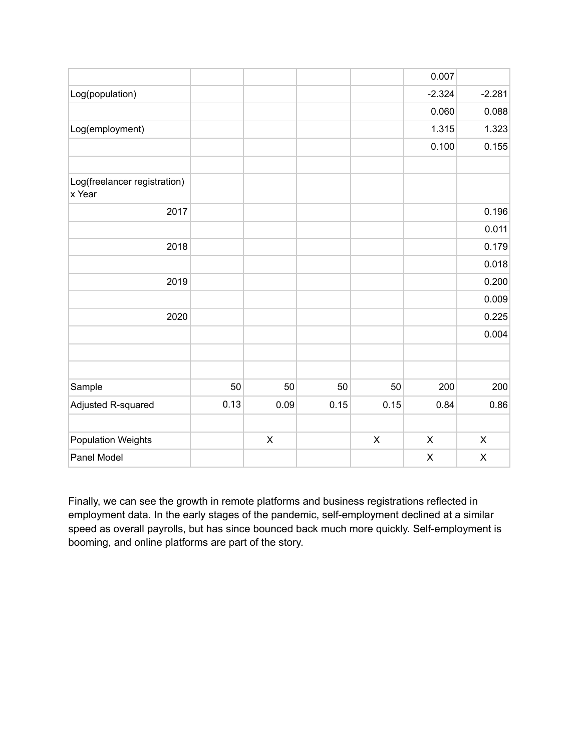|                                        |      |             |      |                | 0.007       |                    |
|----------------------------------------|------|-------------|------|----------------|-------------|--------------------|
| Log(population)                        |      |             |      |                | $-2.324$    | $-2.281$           |
|                                        |      |             |      |                | 0.060       | 0.088              |
| Log(employment)                        |      |             |      |                | 1.315       | 1.323              |
|                                        |      |             |      |                | 0.100       | 0.155              |
| Log(freelancer registration)<br>x Year |      |             |      |                |             |                    |
| 2017                                   |      |             |      |                |             | 0.196              |
|                                        |      |             |      |                |             | 0.011              |
| 2018                                   |      |             |      |                |             | 0.179              |
|                                        |      |             |      |                |             | 0.018              |
| 2019                                   |      |             |      |                |             | 0.200              |
|                                        |      |             |      |                |             | 0.009              |
| 2020                                   |      |             |      |                |             | 0.225              |
|                                        |      |             |      |                |             | 0.004              |
|                                        |      |             |      |                |             |                    |
| Sample                                 | 50   | 50          | 50   | 50             | 200         | 200                |
| Adjusted R-squared                     | 0.13 | 0.09        | 0.15 | 0.15           | 0.84        | 0.86               |
| <b>Population Weights</b>              |      | $\mathsf X$ |      | $\pmb{\times}$ | $\mathsf X$ | $\pmb{\mathsf{X}}$ |
| Panel Model                            |      |             |      |                | $\mathsf X$ | $\pmb{\mathsf{X}}$ |

Finally, we can see the growth in remote platforms and business registrations reflected in employment data. In the early stages of the pandemic, self-employment declined at a similar speed as overall payrolls, but has since bounced back much more quickly. Self-employment is booming, and online platforms are part of the story.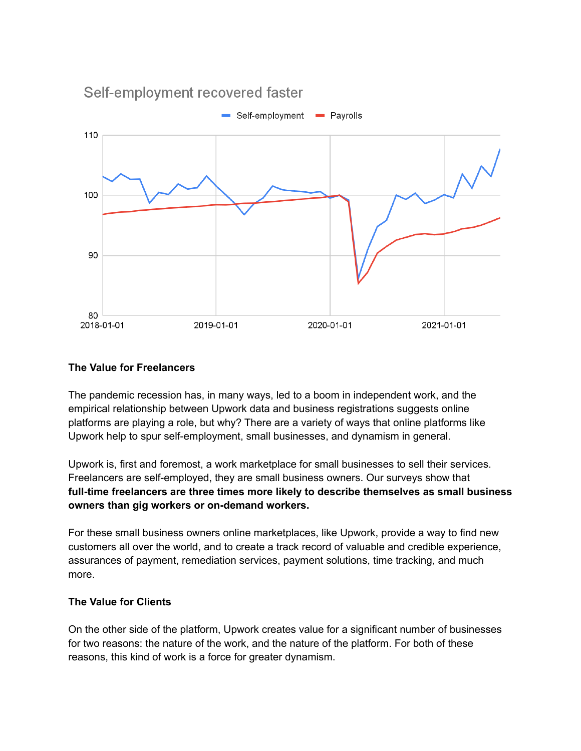

#### **The Value for Freelancers**

The pandemic recession has, in many ways, led to a boom in independent work, and the empirical relationship between Upwork data and business registrations suggests online platforms are playing a role, but why? There are a variety of ways that online platforms like Upwork help to spur self-employment, small businesses, and dynamism in general.

Upwork is, first and foremost, a work marketplace for small businesses to sell their services. Freelancers are self-employed, they are small business owners. Our surveys show that **full-time freelancers are three times more likely to describe themselves as small business owners than gig workers or on-demand workers.**

For these small business owners online marketplaces, like Upwork, provide a way to find new customers all over the world, and to create a track record of valuable and credible experience, assurances of payment, remediation services, payment solutions, time tracking, and much more.

#### **The Value for Clients**

On the other side of the platform, Upwork creates value for a significant number of businesses for two reasons: the nature of the work, and the nature of the platform. For both of these reasons, this kind of work is a force for greater dynamism.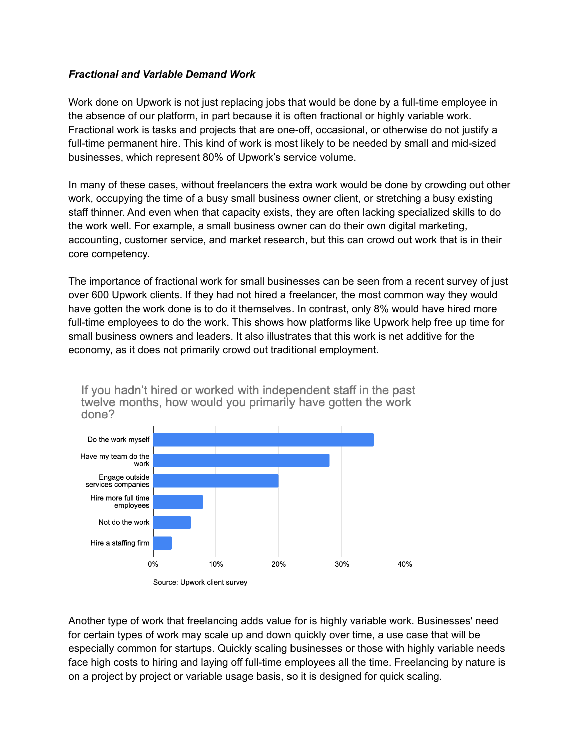## *Fractional and Variable Demand Work*

Work done on Upwork is not just replacing jobs that would be done by a full-time employee in the absence of our platform, in part because it is often fractional or highly variable work. Fractional work is tasks and projects that are one-off, occasional, or otherwise do not justify a full-time permanent hire. This kind of work is most likely to be needed by small and mid-sized businesses, which represent 80% of Upwork's service volume.

In many of these cases, without freelancers the extra work would be done by crowding out other work, occupying the time of a busy small business owner client, or stretching a busy existing staff thinner. And even when that capacity exists, they are often lacking specialized skills to do the work well. For example, a small business owner can do their own digital marketing, accounting, customer service, and market research, but this can crowd out work that is in their core competency.

The importance of fractional work for small businesses can be seen from a recent survey of just over 600 Upwork clients. If they had not hired a freelancer, the most common way they would have gotten the work done is to do it themselves. In contrast, only 8% would have hired more full-time employees to do the work. This shows how platforms like Upwork help free up time for small business owners and leaders. It also illustrates that this work is net additive for the economy, as it does not primarily crowd out traditional employment.



If you hadn't hired or worked with independent staff in the past

Another type of work that freelancing adds value for is highly variable work. Businesses' need for certain types of work may scale up and down quickly over time, a use case that will be especially common for startups. Quickly scaling businesses or those with highly variable needs face high costs to hiring and laying off full-time employees all the time. Freelancing by nature is on a project by project or variable usage basis, so it is designed for quick scaling.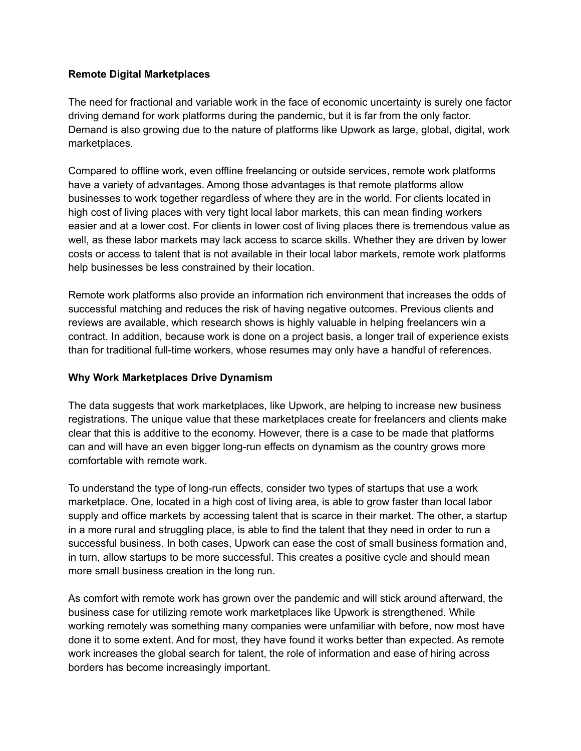# **Remote Digital Marketplaces**

The need for fractional and variable work in the face of economic uncertainty is surely one factor driving demand for work platforms during the pandemic, but it is far from the only factor. Demand is also growing due to the nature of platforms like Upwork as large, global, digital, work marketplaces.

Compared to offline work, even offline freelancing or outside services, remote work platforms have a variety of advantages. Among those advantages is that remote platforms allow businesses to work together regardless of where they are in the world. For clients located in high cost of living places with very tight local labor markets, this can mean finding workers easier and at a lower cost. For clients in lower cost of living places there is tremendous value as well, as these labor markets may lack access to scarce skills. Whether they are driven by lower costs or access to talent that is not available in their local labor markets, remote work platforms help businesses be less constrained by their location.

Remote work platforms also provide an information rich environment that increases the odds of successful matching and reduces the risk of having negative outcomes. Previous clients and reviews are available, which research shows is highly valuable in helping freelancers win a contract. In addition, because work is done on a project basis, a longer trail of experience exists than for traditional full-time workers, whose resumes may only have a handful of references.

## **Why Work Marketplaces Drive Dynamism**

The data suggests that work marketplaces, like Upwork, are helping to increase new business registrations. The unique value that these marketplaces create for freelancers and clients make clear that this is additive to the economy. However, there is a case to be made that platforms can and will have an even bigger long-run effects on dynamism as the country grows more comfortable with remote work.

To understand the type of long-run effects, consider two types of startups that use a work marketplace. One, located in a high cost of living area, is able to grow faster than local labor supply and office markets by accessing talent that is scarce in their market. The other, a startup in a more rural and struggling place, is able to find the talent that they need in order to run a successful business. In both cases, Upwork can ease the cost of small business formation and, in turn, allow startups to be more successful. This creates a positive cycle and should mean more small business creation in the long run.

As comfort with remote work has grown over the pandemic and will stick around afterward, the business case for utilizing remote work marketplaces like Upwork is strengthened. While working remotely was something many companies were unfamiliar with before, now most have done it to some extent. And for most, they have found it works better than expected. As remote work increases the global search for talent, the role of information and ease of hiring across borders has become increasingly important.